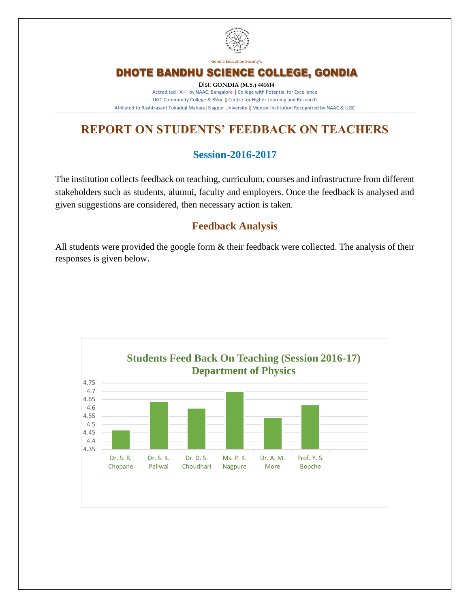

Gondia Education Society's

## DHOTE BANDHU SCIENCE COLLEGE, GONDIA

Dist: **GONDIA (M.S.) 441614** Accredited 'A+' by NAAC, Bangalore **|** College with Potential for Excellence UGC Community College & BVoc **|** Centre for Higher Learning and Research Affiliated to Rashtrasant Tukadoji Maharaj Nagpur University **|** Mentor Institution Recognized by NAAC & UGC

# **REPORT ON STUDENTS' FEEDBACK ON TEACHERS**

### **Session-2016-2017**

The institution collects feedback on teaching, curriculum, courses and infrastructure from different stakeholders such as students, alumni, faculty and employers. Once the feedback is analysed and given suggestions are considered, then necessary action is taken.

#### **Feedback Analysis**

All students were provided the google form  $\&$  their feedback were collected. The analysis of their responses is given below.

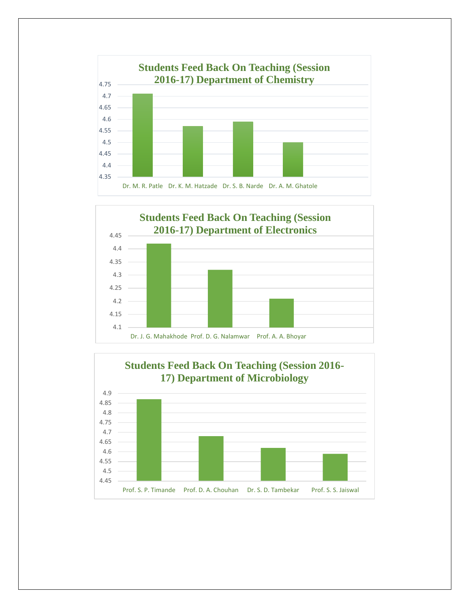



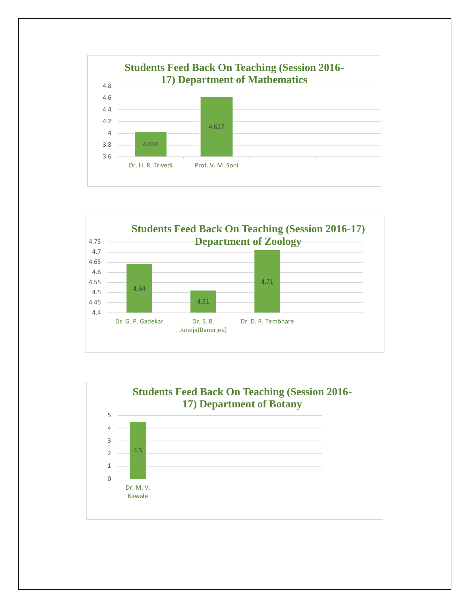



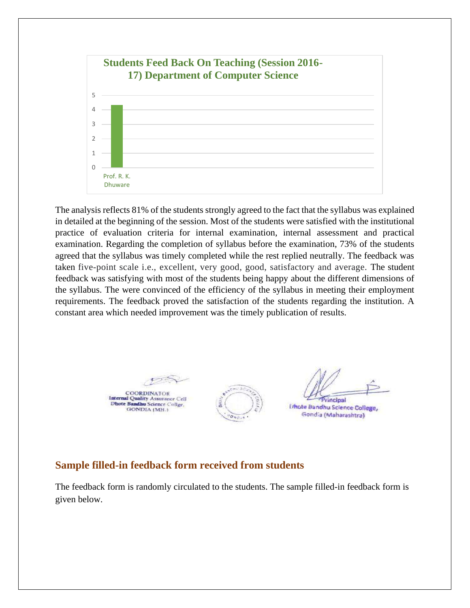

The analysis reflects 81% of the students strongly agreed to the fact that the syllabus was explained in detailed at the beginning of the session. Most of the students were satisfied with the institutional practice of evaluation criteria for internal examination, internal assessment and practical examination. Regarding the completion of syllabus before the examination, 73% of the students agreed that the syllabus was timely completed while the rest replied neutrally. The feedback was taken five-point scale i.e., excellent, very good, good, satisfactory and average. The student feedback was satisfying with most of the students being happy about the different dimensions of the syllabus. The were convinced of the efficiency of the syllabus in meeting their employment requirements. The feedback proved the satisfaction of the students regarding the institution. A constant area which needed improvement was the timely publication of results.

**COORDINATOR** Internal Quality Assurance Cell<br>Dhote Bandhu Science Collge, **GONDIA** (MH.)



**Fincinal** 

**Unote Bandhu Science College,** Gondia (Maharashtra)

#### **Sample filled-in feedback form received from students**

The feedback form is randomly circulated to the students. The sample filled-in feedback form is given below.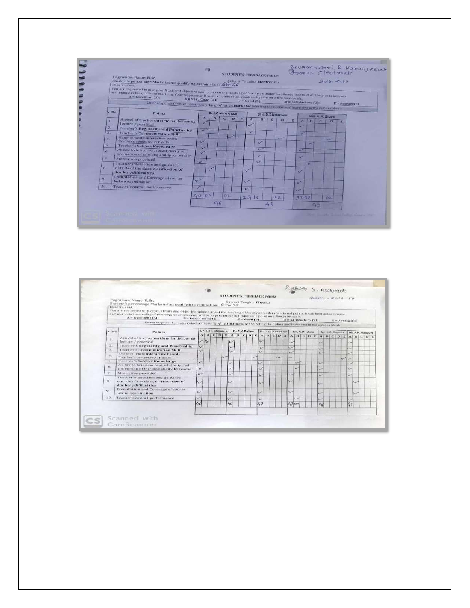

| Fogramme Name: B.Sc.                     |                                                                                                                                                                                                                                                                                                                                                                           |                                           |                                                              |  |                         |                            |                        |                                                                     |  |                | STUDENT'S FREDBACK FORM                                                               |                         |      |                            |                                                                                                                       |  |                                          |                                                          |  |  |                                                                                                                                                                                                                                                                                  |   |                                                                                                                                                                                                                                                                                               |
|------------------------------------------|---------------------------------------------------------------------------------------------------------------------------------------------------------------------------------------------------------------------------------------------------------------------------------------------------------------------------------------------------------------------------|-------------------------------------------|--------------------------------------------------------------|--|-------------------------|----------------------------|------------------------|---------------------------------------------------------------------|--|----------------|---------------------------------------------------------------------------------------|-------------------------|------|----------------------------|-----------------------------------------------------------------------------------------------------------------------|--|------------------------------------------|----------------------------------------------------------|--|--|----------------------------------------------------------------------------------------------------------------------------------------------------------------------------------------------------------------------------------------------------------------------------------|---|-----------------------------------------------------------------------------------------------------------------------------------------------------------------------------------------------------------------------------------------------------------------------------------------------|
|                                          |                                                                                                                                                                                                                                                                                                                                                                           |                                           |                                                              |  |                         |                            |                        |                                                                     |  |                |                                                                                       |                         |      |                            |                                                                                                                       |  |                                          |                                                          |  |  |                                                                                                                                                                                                                                                                                  |   |                                                                                                                                                                                                                                                                                               |
| $A = Excellent [6]$                      |                                                                                                                                                                                                                                                                                                                                                                           |                                           |                                                              |  |                         |                            |                        |                                                                     |  |                |                                                                                       |                         |      |                            |                                                                                                                       |  |                                          |                                                          |  |  |                                                                                                                                                                                                                                                                                  |   |                                                                                                                                                                                                                                                                                               |
|                                          |                                                                                                                                                                                                                                                                                                                                                                           |                                           |                                                              |  |                         |                            |                        |                                                                     |  |                |                                                                                       |                         |      |                            |                                                                                                                       |  |                                          |                                                          |  |  |                                                                                                                                                                                                                                                                                  |   |                                                                                                                                                                                                                                                                                               |
| $S$ , No.                                |                                                                                                                                                                                                                                                                                                                                                                           |                                           |                                                              |  |                         |                            |                        |                                                                     |  |                |                                                                                       |                         |      |                            |                                                                                                                       |  |                                          |                                                          |  |  |                                                                                                                                                                                                                                                                                  |   |                                                                                                                                                                                                                                                                                               |
|                                          |                                                                                                                                                                                                                                                                                                                                                                           |                                           |                                                              |  |                         |                            |                        |                                                                     |  |                |                                                                                       |                         |      |                            |                                                                                                                       |  |                                          |                                                          |  |  |                                                                                                                                                                                                                                                                                  |   |                                                                                                                                                                                                                                                                                               |
| lecture / practical                      |                                                                                                                                                                                                                                                                                                                                                                           |                                           |                                                              |  |                         |                            |                        |                                                                     |  |                |                                                                                       |                         |      |                            |                                                                                                                       |  |                                          |                                                          |  |  |                                                                                                                                                                                                                                                                                  |   |                                                                                                                                                                                                                                                                                               |
| Teacher's Regularity and Punctuality.    |                                                                                                                                                                                                                                                                                                                                                                           |                                           |                                                              |  |                         | $\overline{\phantom{a}}$   |                        |                                                                     |  |                |                                                                                       |                         |      |                            |                                                                                                                       |  |                                          |                                                          |  |  |                                                                                                                                                                                                                                                                                  |   |                                                                                                                                                                                                                                                                                               |
| <b>Teacher's Communication Skill</b>     |                                                                                                                                                                                                                                                                                                                                                                           |                                           |                                                              |  |                         | ×                          |                        |                                                                     |  |                |                                                                                       |                         |      |                            |                                                                                                                       |  |                                          |                                                          |  |  |                                                                                                                                                                                                                                                                                  |   |                                                                                                                                                                                                                                                                                               |
| Towler's computer / IT stalls            |                                                                                                                                                                                                                                                                                                                                                                           |                                           |                                                              |  |                         |                            |                        |                                                                     |  |                |                                                                                       |                         |      |                            |                                                                                                                       |  |                                          |                                                          |  |  |                                                                                                                                                                                                                                                                                  |   |                                                                                                                                                                                                                                                                                               |
|                                          |                                                                                                                                                                                                                                                                                                                                                                           |                                           |                                                              |  |                         | $\mathcal{L}$              |                        |                                                                     |  |                |                                                                                       |                         |      | ب                          |                                                                                                                       |  |                                          |                                                          |  |  |                                                                                                                                                                                                                                                                                  |   |                                                                                                                                                                                                                                                                                               |
| promotion of thinking ability by teacher | v                                                                                                                                                                                                                                                                                                                                                                         |                                           |                                                              |  |                         | w                          |                        |                                                                     |  |                |                                                                                       |                         |      |                            |                                                                                                                       |  |                                          |                                                          |  |  | ت                                                                                                                                                                                                                                                                                |   |                                                                                                                                                                                                                                                                                               |
|                                          | $\sim$                                                                                                                                                                                                                                                                                                                                                                    |                                           |                                                              |  |                         | ت                          |                        |                                                                     |  | v              |                                                                                       |                         |      |                            |                                                                                                                       |  |                                          |                                                          |  |  | ست                                                                                                                                                                                                                                                                               |   |                                                                                                                                                                                                                                                                                               |
|                                          |                                                                                                                                                                                                                                                                                                                                                                           |                                           |                                                              |  |                         |                            |                        |                                                                     |  |                |                                                                                       |                         |      |                            |                                                                                                                       |  |                                          |                                                          |  |  |                                                                                                                                                                                                                                                                                  |   |                                                                                                                                                                                                                                                                                               |
|                                          | u                                                                                                                                                                                                                                                                                                                                                                         |                                           |                                                              |  |                         |                            |                        |                                                                     |  |                |                                                                                       |                         |      |                            |                                                                                                                       |  |                                          |                                                          |  |  |                                                                                                                                                                                                                                                                                  |   |                                                                                                                                                                                                                                                                                               |
|                                          | المسابقة                                                                                                                                                                                                                                                                                                                                                                  |                                           |                                                              |  |                         |                            |                        |                                                                     |  |                |                                                                                       |                         |      |                            |                                                                                                                       |  |                                          |                                                          |  |  |                                                                                                                                                                                                                                                                                  |   |                                                                                                                                                                                                                                                                                               |
|                                          | $\epsilon$                                                                                                                                                                                                                                                                                                                                                                |                                           |                                                              |  |                         | $\mathcal{L}_{\mathbf{f}}$ |                        |                                                                     |  | 47             |                                                                                       |                         | 47cm |                            |                                                                                                                       |  | $c_{\rm d}$                              |                                                          |  |  | 48                                                                                                                                                                                                                                                                               |   |                                                                                                                                                                                                                                                                                               |
|                                          | Dear Student,<br><b>Points</b><br>Unique of white interactive board -<br>Tancher's Subject Knowledge<br>Ability to bring conceptual clarity and<br>Motivation provided<br>Teacher interaction and guidance<br>outside of the class, clarification of<br>doubts /difficulties<br>Completion and Coverage of course<br>before examination.<br>Teacher's overall performance | Arrival of teacher on time for delivering | V<br>$\overline{\mathbf{v}}$<br>$\checkmark$<br>$\checkmark$ |  | $B = Very$ Good $(4)$ : |                            | Dr. S. R. Chopano<br>c | Student's percentage Marks in last qualifying examination: C25.n.OS |  | Dr.S.K.Paliwal | $C = Good(3)$ ;<br>$\sim$<br>$\sim$<br>$\overline{\phantom{a}}$<br>سما<br>ر<br>$\sim$ | Subject Taught: Physics |      | Dr.D.S.Choudhary<br>$\sim$ | and maintain the quality of teaching; Your response will be kept confidential. Rank each point on a five point scale. |  | $D = Satisfactory (2):$<br>Mr. A.M. More | u<br>L.<br>$\sqrt{2}$<br>$\sim$<br>ت<br>ت<br><b>Cole</b> |  |  | You are requested to give your frank and objective opinion about the teaching of faculty on under mentioned points. It will help us to improve<br>Enter response for each point by marking $\sqrt[4]{$ (tick mark) for selecting the option and leave rest of the options blank. | w | Rockers to Doctorick<br>$E = Average(1)$<br>Mr. Y.S. Bopche Ms.P.K. Nagpure<br>$A \mid B \mid C \mid D \mid E \mid A \mid B \mid C \mid D \mid E \mid A \mid B \mid C \mid D \mid E \mid A \mid B \mid C \mid D \mid E \mid A \mid B \mid C \mid D \mid E \mid A \mid B \mid C \mid D \mid E$ |